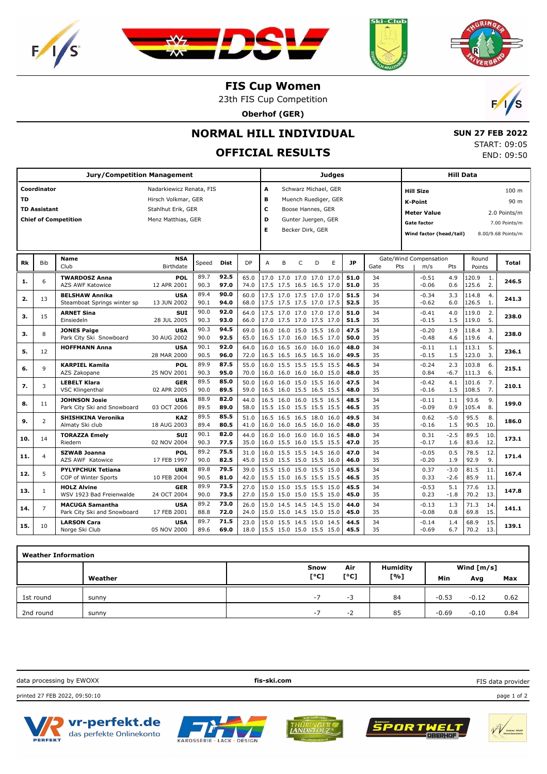







 **SUN 27 FEB 2022** START: 09:05 END: 09:50

## **FIS Cup Women**

23th FIS Cup Competition

**Oberhof (GER)**



## **NORMAL HILL INDIVIDUAL**

## **OFFICIAL RESULTS**

|           |                                    | <b>Jury/Competition Management</b>                    |                                                                                             |              |              |              |                          |   |   |                                                              | <b>Judges</b>                                |              |             |                                                                                                    | Hill Data        |                 |            |                                                                                 |
|-----------|------------------------------------|-------------------------------------------------------|---------------------------------------------------------------------------------------------|--------------|--------------|--------------|--------------------------|---|---|--------------------------------------------------------------|----------------------------------------------|--------------|-------------|----------------------------------------------------------------------------------------------------|------------------|-----------------|------------|---------------------------------------------------------------------------------|
| <b>TD</b> | Coordinator<br><b>TD Assistant</b> | <b>Chief of Competition</b>                           | Nadarkiewicz Renata, FIS<br>Hirsch Volkmar, GER<br>Stahlhut Erik, GER<br>Menz Matthias, GER |              |              |              | A<br>в<br>c<br>D<br>Е    |   |   | Boose Hannes, GER<br>Gunter Juergen, GER<br>Becker Dirk, GER | Schwarz Michael, GER<br>Muench Ruediger, GER |              |             | <b>Hill Size</b><br><b>K-Point</b><br><b>Meter Value</b><br>Gate factor<br>Wind factor (head/tail) |                  |                 |            | 100 <sub>m</sub><br>90 m<br>2.0 Points/m<br>7.00 Points/m<br>8.00/9.68 Points/m |
| Rk        | <b>Bib</b>                         | <b>Name</b><br>Club                                   | <b>NSA</b><br>Birthdate                                                                     | Speed        | Dist         | DP           | A                        | B | C | D                                                            | E                                            | <b>JP</b>    | Gate<br>Pts | Gate/Wind Compensation<br>m/s                                                                      | Pts              | Round<br>Points |            | Total                                                                           |
| 1.        | 6                                  | <b>TWARDOSZ Anna</b><br><b>AZS AWF Katowice</b>       | <b>POL</b><br>12 APR 2001                                                                   | 89.7<br>90.3 | 92.5<br>97.0 | 65.0<br>74.0 |                          |   |   | 17.0 17.0 17.0 17.0 17.0<br>17.5 17.5 16.5 16.5 17.0         |                                              | 51.0<br>51.0 | 34<br>35    | $-0.51$<br>$-0.06$                                                                                 | 4.9<br>0.6       | 120.9<br>125.6  | 1.<br>2.   | 246.5                                                                           |
| 2.        | 13                                 | <b>BELSHAW Annika</b><br>Steamboat Springs winter sp  | <b>USA</b><br>13 JUN 2002                                                                   | 89.4<br>90.1 | 90.0<br>94.0 | 60.0<br>68.0 |                          |   |   | 17.5 17.0 17.5 17.0 17.0<br>17.5 17.5 17.5 17.0 17.5         |                                              | 51.5<br>52.5 | 34<br>35    | $-0.34$<br>$-0.62$                                                                                 | 3.3<br>6.0       | 114.8<br>126.5  | 4.<br>1.   | 241.3                                                                           |
| з.        | 15                                 | <b>ARNET Sina</b><br>Einsiedeln                       | <b>SUI</b><br>28 JUL 2005                                                                   | 90.0<br>90.3 | 92.0<br>93.0 | 64.0<br>66.0 |                          |   |   | 17.5 17.0 17.0 17.0 17.0<br>17.0 17.5 17.0 17.5 17.0         |                                              | 51.0<br>51.5 | 34<br>35    | $-0.41$<br>$-0.15$                                                                                 | 4.0<br>1.5       | 119.0<br>119.0  | 2.<br>5.   | 238.0                                                                           |
| 3.        | 8                                  | <b>JONES Paige</b><br>Park City Ski Snowboard         | <b>USA</b><br>30 AUG 2002                                                                   | 90.3<br>90.0 | 94.5<br>92.5 | 69.0<br>65.0 |                          |   |   | 16.0 16.0 15.0 15.5 16.0<br>16.5 17.0 16.0 16.5 17.0         |                                              | 47.5<br>50.0 | 34<br>35    | $-0.20$<br>$-0.48$                                                                                 | 1.9<br>4.6       | 118.4<br>119.6  | 3.<br>4.   | 238.0                                                                           |
| 5.        | 12                                 | <b>HOFFMANN Anna</b>                                  | <b>USA</b><br>28 MAR 2000                                                                   | 90.1<br>90.5 | 92.0<br>96.0 | 64.0<br>72.0 |                          |   |   | 16.0 16.5 16.0 16.0 16.0<br>16.5 16.5 16.5 16.5 16.0         |                                              | 48.0<br>49.5 | 34<br>35    | $-0.11$<br>$-0.15$                                                                                 | 1.1<br>1.5       | 113.1<br>123.0  | 5.<br>3.   | 236.1                                                                           |
| 6.        | 9                                  | <b>KARPIEL Kamila</b><br>AZS Zakopane                 | POL<br>25 NOV 2001                                                                          | 89.9<br>90.3 | 87.5<br>95.0 | 55.0<br>70.0 |                          |   |   | 16.0 15.5 15.5 15.5 15.5<br>16.0 16.0 16.0 16.0 15.0         |                                              | 46.5<br>48.0 | 34<br>35    | $-0.24$<br>0.84                                                                                    | 2.3<br>$-6.7$    | 103.8<br>111.3  | 6.<br>6.   | 215.1                                                                           |
| 7.        | 3                                  | <b>LEBELT Klara</b><br><b>VSC Klingenthal</b>         | <b>GER</b><br>02 APR 2005                                                                   | 89.5<br>90.0 | 85.0<br>89.5 | 50.0<br>59.0 |                          |   |   | 16.0 16.0 15.0 15.5 16.0<br>16.5 16.0 15.5 16.5 15.5         |                                              | 47.5<br>48.0 | 34<br>35    | $-0.42$<br>$-0.16$                                                                                 | 4.1<br>1.5       | 101.6<br>108.5  | 7.<br>7.   | 210.1                                                                           |
| 8.        | 11                                 | <b>JOHNSON Josie</b><br>Park City Ski and Snowboard   | <b>USA</b><br>03 OCT 2006                                                                   | 88.9<br>89.5 | 82.0<br>89.0 | 44.0<br>58.0 |                          |   |   | 16.5 16.0 16.0 15.5 16.5<br>15.5 15.0 15.5 15.5 15.5         |                                              | 48.5<br>46.5 | 34<br>35    | -0.11<br>$-0.09$                                                                                   | 1.1<br>0.9       | 93.6<br>105.4   | 9.<br>8.   | 199.0                                                                           |
| 9.        | $\overline{2}$                     | SHISHKINA Veronika<br>Almaty Ski club                 | <b>KAZ</b><br>18 AUG 2003                                                                   | 89.5<br>89.4 | 85.5<br>80.5 | 51.0<br>41.0 |                          |   |   | 16.5 16.5 16.5 18.0 16.0<br>16.0 16.0 16.5 16.0 16.0         |                                              | 49.5<br>48.0 | 34<br>35    | 0.62<br>$-0.16$                                                                                    | $-5.0$<br>1.5    | 95.5<br>90.5    | 8.<br>10.  | 186.0                                                                           |
| 10.       | 14                                 | <b>TORAZZA Emely</b><br>Riedern                       | <b>SUI</b><br>02 NOV 2004                                                                   | 90.1<br>90.3 | 82.0<br>77.5 | 44.0<br>35.0 |                          |   |   | 16.0 16.0 16.0 16.0 16.5<br>16.0 15.5 16.0 15.5 15.5         |                                              | 48.0<br>47.0 | 34<br>35    | 0.31<br>$-0.17$                                                                                    | $-2.5$<br>1.6    | 89.5<br>83.6    | 10.<br>12. | 173.1                                                                           |
| 11.       | $\overline{4}$                     | <b>SZWAB Joanna</b><br>AZS AWF Katowice               | POL<br>17 FEB 1997                                                                          | 89.2<br>90.0 | 75.5<br>82.5 | 31.0<br>45.0 |                          |   |   | 16.0 15.5 15.5 14.5 16.0<br>15.0 15.5 15.0 15.5 16.0         |                                              | 47.0<br>46.0 | 34<br>35    | $-0.05$<br>$-0.20$                                                                                 | 0.5<br>1.9       | 78.5<br>92.9    | 12.<br>9.  | 171.4                                                                           |
| 12.       | 5                                  | <b>PYLYPCHUK Tetiana</b><br>COP of Winter Sports      | <b>UKR</b><br>10 FEB 2004                                                                   | 89.8<br>90.5 | 79.5<br>81.0 | 39.0<br>42.0 |                          |   |   | 15.5 15.0 15.0 15.5 15.0<br>15.5 15.0 16.5 15.5 15.5         |                                              | 45.5<br>46.5 | 34<br>35    | 0.37<br>0.33                                                                                       | $-3.0$<br>$-2.6$ | 81.5<br>85.9    | 11.<br>11. | 167.4                                                                           |
| 13.       | $\mathbf{1}$                       | <b>HOLZ Alvine</b><br>WSV 1923 Bad Freienwalde        | <b>GER</b><br>24 OCT 2004                                                                   | 89.9<br>90.0 | 73.5<br>73.5 | 27.0<br>27.0 | 15.0                     |   |   | 15.0 15.5 15.5 15.0<br>15.0 15.0 15.0 15.5 15.0              |                                              | 45.5<br>45.0 | 34<br>35    | $-0.53$<br>0.23                                                                                    | 5.1<br>$-1.8$    | 77.6<br>70.2    | 13.<br>13. | 147.8                                                                           |
| 14.       | $\overline{7}$                     | <b>MACUGA Samantha</b><br>Park City Ski and Snowboard | <b>USA</b><br>17 FEB 2001                                                                   | 89.2<br>88.8 | 73.0<br>72.0 | 26.0<br>24.0 |                          |   |   | 15.0 14.5 14.5 14.5 15.0<br>15.0 15.0 14.5 15.0 15.0         |                                              | 44.0<br>45.0 | 34<br>35    | $-0.13$<br>$-0.08$                                                                                 | 1.3<br>0.8       | 71.3<br>69.8    | 14.<br>15. | 141.1                                                                           |
| 15.       | 10                                 | <b>LARSON Cara</b><br>Norge Ski Club                  | <b>USA</b><br>05 NOV 2000                                                                   | 89.7<br>89.6 | 71.5<br>69.0 | 23.0<br>18.0 | 15.5 15.0 15.0 15.5 15.0 |   |   | 15.0 15.5 14.5 15.0 14.5                                     |                                              | 44.5<br>45.5 | 34<br>35    | $-0.14$<br>$-0.69$                                                                                 | 1.4<br>6.7       | 68.9<br>70.2    | 15.<br>13. | 139.1                                                                           |

| <b>Weather Information</b> |         |      |         |                 |         |              |      |
|----------------------------|---------|------|---------|-----------------|---------|--------------|------|
|                            |         | Snow | Air     | <b>Humidity</b> |         | Wind $[m/s]$ |      |
|                            | Weather | [°C] | [°C]    | [%]             | Min     | Avg          | Max  |
| 1st round                  | sunny   | $-7$ | -3      | 84              | $-0.53$ | $-0.12$      | 0.62 |
| 2nd round                  | sunny   | $-7$ | -<br>-2 | 85              | $-0.69$ | $-0.10$      | 0.84 |

data processing by EWOXX **fis-ski.com** printed 27 FEB 2022, 09:50:10 page 1 of 2











FIS data provider